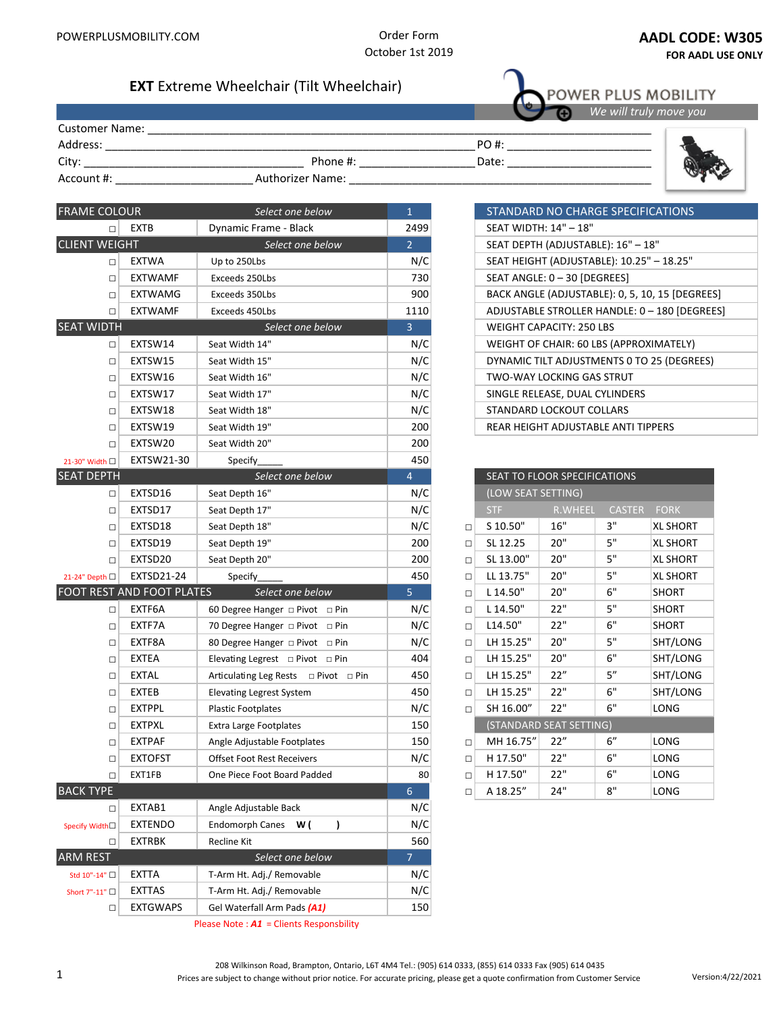

## **Select store location - AADL Numbers**

☐ Calgary - AADL 00000 78000 003

 ☐ Edmonton - AADL 00000 78000 001 ☐ Grande Prairie - AADL 0000 665538 001

Order Form October 1st 2019

# **EXT** Extreme Wheelchair (Tilt Wheelchair)

|                       |                         |       | We will truly move you |
|-----------------------|-------------------------|-------|------------------------|
| <b>Customer Name:</b> |                         |       |                        |
| Address:              |                         | PO #: |                        |
| City:                 | Phone #:                | Date: |                        |
| Account #:            | <b>Authorizer Name:</b> |       |                        |

| <b>FRAME COLOUR</b>                      |                           | Select one below                          | $\mathbf{1}$   |        |                                             | STANDARD NO CHARGE SPECIFICATIONS       |               |                 |
|------------------------------------------|---------------------------|-------------------------------------------|----------------|--------|---------------------------------------------|-----------------------------------------|---------------|-----------------|
| EXTB<br>$\Box$                           |                           | Dynamic Frame - Black                     | 2499           |        |                                             | SEAT WIDTH: 14" - 18"                   |               |                 |
| <b>CLIENT WEIGHT</b><br>Select one below |                           | 2 <sup>2</sup>                            |                |        | SEAT DEPTH (ADJUSTABLE): 16" - 18"          |                                         |               |                 |
| $\Box$                                   | <b>EXTWA</b>              | Up to 250Lbs                              | N/C            |        | SEAT HEIGHT (ADJUSTABLE): 10.25" - 18.25"   |                                         |               |                 |
| $\Box$                                   | <b>EXTWAMF</b>            | Exceeds 250Lbs                            | 730            |        | SEAT ANGLE: 0 - 30 [DEGREES]                |                                         |               |                 |
| $\Box$                                   | <b>EXTWAMG</b>            | Exceeds 350Lbs                            | 900            |        | BACK ANGLE (ADJUSTABLE): 0, 5, 10, 15 [DEGR |                                         |               |                 |
| $\Box$                                   | <b>EXTWAMF</b>            | Exceeds 450Lbs                            | 1110           |        | ADJUSTABLE STROLLER HANDLE: 0 - 180 [DEGI   |                                         |               |                 |
| <b>SEAT WIDTH</b>                        |                           | Select one below                          | $\overline{3}$ |        |                                             | <b>WEIGHT CAPACITY: 250 LBS</b>         |               |                 |
| $\Box$                                   | EXTSW14                   | Seat Width 14"                            | N/C            |        |                                             | WEIGHT OF CHAIR: 60 LBS (APPROXIMATELY) |               |                 |
| $\Box$                                   | EXTSW15                   | Seat Width 15"                            | N/C            |        |                                             | DYNAMIC TILT ADJUSTMENTS 0 TO 25 (DEGRE |               |                 |
| $\Box$                                   | EXTSW16                   | Seat Width 16"                            | N/C            |        |                                             | <b>TWO-WAY LOCKING GAS STRUT</b>        |               |                 |
| $\Box$                                   | EXTSW17                   | Seat Width 17"                            | N/C            |        |                                             | SINGLE RELEASE, DUAL CYLINDERS          |               |                 |
| $\Box$                                   | EXTSW18                   | Seat Width 18"                            | N/C            |        | STANDARD LOCKOUT COLLARS                    |                                         |               |                 |
| □                                        | EXTSW19                   | Seat Width 19"                            | 200            |        |                                             | REAR HEIGHT ADJUSTABLE ANTI TIPPERS     |               |                 |
| $\Box$                                   | EXTSW20                   | Seat Width 20"                            | 200            |        |                                             |                                         |               |                 |
| 21-30" Width □                           | EXTSW21-30                | Specify                                   | 450            |        |                                             |                                         |               |                 |
| <b>SEAT DEPTH</b>                        |                           | Select one below                          | $\overline{4}$ |        |                                             | SEAT TO FLOOR SPECIFICATIONS            |               |                 |
| $\Box$                                   | EXTSD16                   | Seat Depth 16"                            | N/C            |        | (LOW SEAT SETTING)                          |                                         |               |                 |
| $\Box$                                   | EXTSD17                   | Seat Depth 17"                            | N/C            |        | STF                                         | R.WHEEL                                 | <b>CASTER</b> | <b>FORK</b>     |
| $\Box$                                   | EXTSD18                   | Seat Depth 18"                            | N/C            | □      | S 10.50"                                    | 16"                                     | 3"            | XL SHORT        |
| $\Box$                                   | EXTSD19                   | Seat Depth 19"                            | 200            | $\Box$ | SL 12.25                                    | 20"                                     | 5"            | XL SHORT        |
| $\Box$                                   | EXTSD20                   | Seat Depth 20"                            | 200            | $\Box$ | SL 13.00"                                   | 20"                                     | 5"            | <b>XL SHORT</b> |
| 21-24" Depth □                           | EXTSD21-24                | Specify                                   | 450            | $\Box$ | LL 13.75"                                   | 20"                                     | $5"$          | <b>XL SHORT</b> |
|                                          | FOOT REST AND FOOT PLATES | Select one below                          | 5              | $\Box$ | L 14.50"                                    | 20"                                     | 6"            | <b>SHORT</b>    |
| $\Box$                                   | EXTF6A                    | 60 Degree Hanger □ Pivot □ Pin            | N/C            | $\Box$ | L 14.50"                                    | 22"                                     | 5"            | <b>SHORT</b>    |
| $\Box$                                   | EXTF7A                    | 70 Degree Hanger D Pivot D Pin            | N/C            | $\Box$ | L14.50"                                     | 22"                                     | 6"            | <b>SHORT</b>    |
| $\Box$                                   | EXTF8A                    | 80 Degree Hanger D Pivot D Pin            | N/C            | $\Box$ | LH 15.25"                                   | 20"                                     | 5"            | SHT/LONG        |
| $\Box$                                   | <b>EXTEA</b>              | Elevating Legrest $\Box$ Pivot $\Box$ Pin | 404            | $\Box$ | LH 15.25"                                   | 20"                                     | 6"            | SHT/LONG        |
| $\Box$                                   | EXTAL                     | Articulating Leg Rests □ Pivot □ Pin      | 450            | $\Box$ | LH 15.25"                                   | 22"                                     | 5''           | SHT/LONG        |
| □                                        | <b>EXTEB</b>              | <b>Elevating Legrest System</b>           | 450            | $\Box$ | LH 15.25"                                   | 22"                                     | 6"            | SHT/LONG        |
| □                                        | <b>EXTPPL</b>             | <b>Plastic Footplates</b>                 | N/C            | $\Box$ | SH 16.00"                                   | 22"                                     | 6"            | LONG            |
| $\Box$                                   | <b>EXTPXL</b>             | Extra Large Footplates                    | 150            |        | (STANDARD SEAT SETTING)                     |                                         |               |                 |
| □                                        | EXTPAF                    | Angle Adjustable Footplates               | 150            | □      | MH 16.75"                                   | 22"                                     | 6"            | LONG            |
| $\Box$                                   | <b>EXTOFST</b>            | <b>Offset Foot Rest Receivers</b>         | N/C            | $\Box$ | H 17.50"                                    | 22"                                     | 6"            | LONG            |
| $\Box$                                   | EXT1FB                    | One Piece Foot Board Padded               | 80             | $\Box$ | H 17.50"                                    | 22"                                     | 6"            | LONG            |
| <b>BACK TYPE</b>                         |                           |                                           | 6 <sup>1</sup> | □      | A 18.25"                                    | 24"                                     | 8"            | LONG            |
| $\Box$                                   | EXTAB1                    | Angle Adjustable Back                     | N/C            |        |                                             |                                         |               |                 |
| Specify Width□                           | <b>EXTENDO</b>            | Endomorph Canes W (<br>$\lambda$          | N/C            |        |                                             |                                         |               |                 |
| □                                        | EXTRBK                    | Recline Kit                               | 560            |        |                                             |                                         |               |                 |
| <b>ARM REST</b>                          |                           | Select one below                          | $\overline{7}$ |        |                                             |                                         |               |                 |
| Std 10"-14" □                            | EXTTA                     | T-Arm Ht. Adj./ Removable                 | N/C            |        |                                             |                                         |               |                 |
| Short 7"-11" □                           | EXTTAS                    | T-Arm Ht. Adj./ Removable                 | N/C            |        |                                             |                                         |               |                 |
| $\Box$                                   | <b>EXTGWAPS</b>           | Gel Waterfall Arm Pads (A1)               | 150            |        |                                             |                                         |               |                 |

Please Note : *A1* = Clients Responsbility

| STANDARD NO CHARGE SPECIFICATIONS               |
|-------------------------------------------------|
| SEAT WIDTH: 14" - 18"                           |
| SEAT DEPTH (ADJUSTABLE): 16" - 18"              |
| SEAT HEIGHT (ADJUSTABLE): 10.25" - 18.25"       |
| SEAT ANGLE: 0 - 30 [DEGREES]                    |
| BACK ANGLE (ADJUSTABLE): 0, 5, 10, 15 [DEGREES] |
| ADJUSTABLE STROLLER HANDLE: 0 - 180 [DEGREES]   |
| WEIGHT CAPACITY: 250 LBS                        |
| WEIGHT OF CHAIR: 60 LBS (APPROXIMATELY)         |
| DYNAMIC TILT ADJUSTMENTS 0 TO 25 (DEGREES)      |
| TWO-WAY LOCKING GAS STRUT                       |
| SINGLE RELEASE, DUAL CYLINDERS                  |
| STANDARD LOCKOUT COLLARS                        |
| REAR HEIGHT ADJUSTABLE ANTI TIPPERS             |

POWER PLUS MOBILITY

|        | SEAT TO FLOOR SPECIFICATIONS |                |               |                 |  |  |
|--------|------------------------------|----------------|---------------|-----------------|--|--|
|        | (LOW SEAT SETTING)           |                |               |                 |  |  |
|        | <b>STF</b>                   | <b>R.WHEEL</b> | <b>CASTER</b> | <b>FORK</b>     |  |  |
| П      | S 10.50"                     | 16"            | З"            | <b>XL SHORT</b> |  |  |
| П      | SL 12.25                     | 20"            | 5"            | <b>XL SHORT</b> |  |  |
| п      | SL 13.00"                    | 20"            | 5"            | <b>XL SHORT</b> |  |  |
| $\Box$ | LL 13.75"                    | 20"            | 5"            | <b>XL SHORT</b> |  |  |
| $\Box$ | L 14.50"                     | 20"            | 6"            | <b>SHORT</b>    |  |  |
| $\Box$ | L 14.50"                     | 22"            | 5"            | <b>SHORT</b>    |  |  |
| $\Box$ | L14.50"                      | 22"            | 6"            | <b>SHORT</b>    |  |  |
| П      | LH 15.25"                    | 20"            | 5"            | SHT/LONG        |  |  |
| $\Box$ | LH 15.25"                    | 20"            | 6"            | SHT/LONG        |  |  |
| □      | LH 15.25"                    | 22"            | 5''           | SHT/LONG        |  |  |
| □      | LH 15.25"                    | 22"            | 6"            | SHT/LONG        |  |  |
| □      | SH 16.00"                    | 22"            | 6"            | LONG            |  |  |
|        | (STANDARD SEAT SETTING)      |                |               |                 |  |  |
| □      | MH 16.75"                    | 22"            | 6"            | LONG            |  |  |
| $\Box$ | H 17.50"                     | 22"            | 6"            | LONG            |  |  |
| П      | H 17.50"                     | 22"            | 6"            | LONG            |  |  |
| п      | A 18.25"                     | 24"            | 8"            | LONG            |  |  |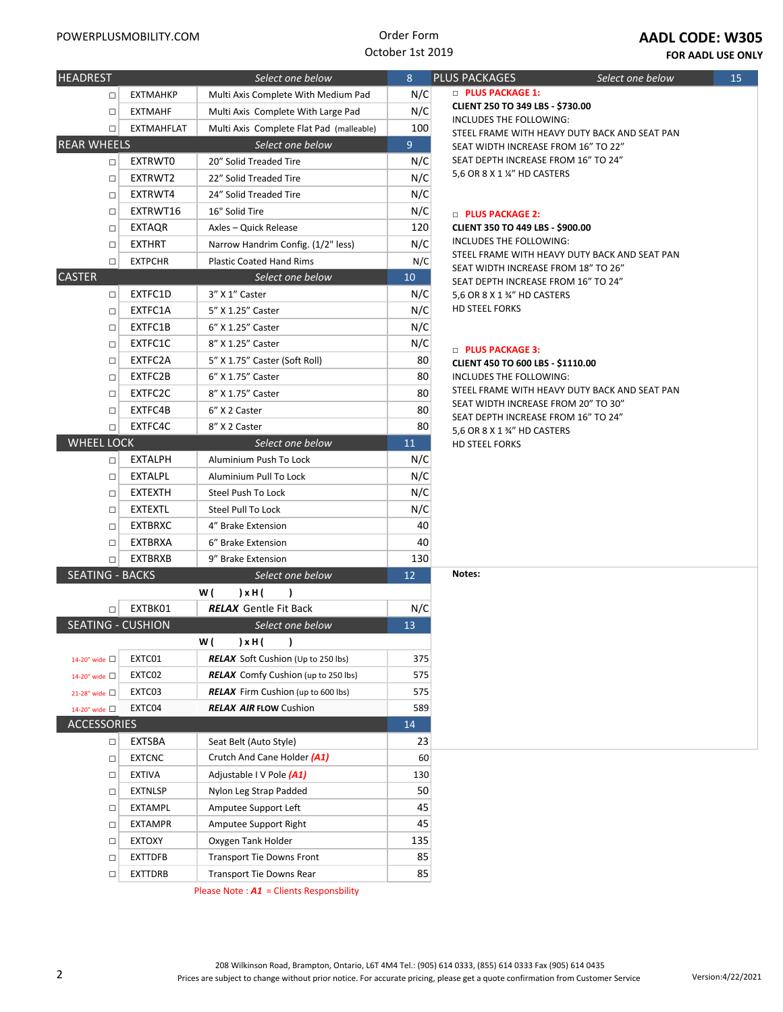

#### **Select store location - AADL Numbers Calgary - AADL 00000 78000 003 Edmonton - AADL 00000 78000 001 Grande Prairie - AADL 0000 665538 001**

Order Form October 1st 2019

**FOR AADL USE ONLY**

| <b>HEADREST</b>          |                   | Select one below                           | 8   |
|--------------------------|-------------------|--------------------------------------------|-----|
| $\Box$                   | <b>EXTMAHKP</b>   | Multi Axis Complete With Medium Pad        | N/C |
| $\Box$                   | <b>EXTMAHF</b>    | Multi Axis Complete With Large Pad         | N/C |
| □                        | <b>EXTMAHFLAT</b> | Multi Axis Complete Flat Pad (malleable)   | 100 |
| <b>REAR WHEELS</b>       |                   | Select one below                           | 9   |
| $\Box$                   | <b>EXTRWTO</b>    | 20" Solid Treaded Tire                     | N/C |
| П                        | EXTRWT2           | 22" Solid Treaded Tire                     | N/C |
| □                        | EXTRWT4           | 24" Solid Treaded Tire                     | N/C |
| п                        | EXTRWT16          | 16" Solid Tire                             | N/C |
| п                        | EXTAQR            | Axles - Quick Release                      | 120 |
| □                        | <b>EXTHRT</b>     | Narrow Handrim Config. (1/2" less)         | N/C |
| $\Box$                   | <b>EXTPCHR</b>    | <b>Plastic Coated Hand Rims</b>            | N/C |
| <b>CASTER</b>            |                   | Select one below                           | 10  |
| $\Box$                   | EXTFC1D           | 3" X 1" Caster                             | N/C |
| $\Box$                   | EXTFC1A           | 5" X 1.25" Caster                          | N/C |
| $\Box$                   | EXTFC1B           | 6" X 1.25" Caster                          | N/C |
| п                        | EXTFC1C           | 8" X 1.25" Caster                          | N/C |
| п                        | EXTFC2A           | 5" X 1.75" Caster (Soft Roll)              | 80  |
| □                        | EXTFC2B           | 6" X 1.75" Caster                          | 80  |
| П                        | EXTFC2C           | 8" X 1.75" Caster                          | 80  |
| п                        | EXTFC4B           | 6" X 2 Caster                              | 80  |
| $\Box$                   | EXTFC4C           | 8" X 2 Caster                              | 80  |
| <b>WHEEL LOCK</b>        |                   | Select one below                           | 11  |
| □                        | <b>EXTALPH</b>    | Aluminium Push To Lock                     | N/C |
| $\Box$                   | <b>EXTALPL</b>    | Aluminium Pull To Lock                     | N/C |
| п                        | <b>EXTEXTH</b>    | Steel Push To Lock                         | N/C |
| □                        | <b>EXTEXTL</b>    | <b>Steel Pull To Lock</b>                  | N/C |
| $\Box$                   | <b>EXTBRXC</b>    | 4" Brake Extension                         | 40  |
| □                        | <b>EXTBRXA</b>    | 6" Brake Extension                         | 40  |
| п                        | <b>EXTBRXB</b>    | 9" Brake Extension                         | 130 |
| <b>SEATING - BACKS</b>   |                   | Select one below                           | 12  |
|                          |                   | w (<br>) x H (<br>1                        |     |
| П                        | EXTBK01           | <b>RELAX</b> Gentle Fit Back               | N/C |
| <b>SEATING - CUSHION</b> |                   | Select one below                           | 13  |
|                          |                   | W (<br>)<br>) x H (                        |     |
| 14-20" wide $\Box$       | EXTC01            | <b>RELAX</b> Soft Cushion (Up to 250 lbs)  | 375 |
| 14-20" wide □            | EXTC02            | <b>RELAX</b> Comfy Cushion (up to 250 lbs) | 575 |
| 21-28" wide $\Box$       | EXTC03            | <b>RELAX</b> Firm Cushion (up to 600 lbs)  | 575 |
| 14-20" wide $\Box$       | EXTC04            | <b>RELAX AIR FLOW Cushion</b>              | 589 |
| <b>ACCESSORIES</b>       |                   |                                            | 14  |
| $\Box$                   | EXTSBA            | Seat Belt (Auto Style)                     | 23  |
| $\Box$                   | <b>EXTCNC</b>     | Crutch And Cane Holder (A1)                | 60  |
| $\Box$                   | EXTIVA            | Adjustable I V Pole (A1)                   | 130 |
| $\Box$                   | EXTNLSP           | Nylon Leg Strap Padded                     | 50  |
| $\Box$                   | EXTAMPL           | Amputee Support Left                       | 45  |
| $\Box$                   | EXTAMPR           | Amputee Support Right                      | 45  |
|                          | EXTOXY            | Oxygen Tank Holder                         | 135 |
| $\Box$                   | EXTTDFB           | <b>Transport Tie Downs Front</b>           | 85  |
| $\Box$                   |                   |                                            |     |
| $\Box$                   | EXTTDRB           | <b>Transport Tie Downs Rear</b>            | 85  |

**HEADRES** Select one below **8 PACKAGES □ PLUS PACKAGE 1: CLIENT 250 TO 349 LBS - \$730.00** INCLUDES THE FOLLOWING: STEEL FRAME WITH HEAVY DUTY BACK AND SEAT PAN SEAT WIDTH INCREASE FROM 16" TO 22" SEAT DEPTH INCREASE FROM 16" TO 24" 5,6 OR 8 X 1 ¼" HD CASTERS

### □ **PLUS PACKAGE 2:**

**CLIENT 350 TO 449 LBS - \$900.00** INCLUDES THE FOLLOWING: STEEL FRAME WITH HEAVY DUTY BACK AND SEAT PAN SEAT WIDTH INCREASE FROM 18" TO 26" SEAT DEPTH INCREASE FROM 16" TO 24" 5,6 OR 8 X 1 ¾" HD CASTERS HD STEEL FORKS

#### □ **PLUS PACKAGE 3:**

**CLIENT 450 TO 600 LBS - \$1110.00** INCLUDES THE FOLLOWING: STEEL FRAME WITH HEAVY DUTY BACK AND SEAT PAN SEAT WIDTH INCREASE FROM 20" TO 30" SEAT DEPTH INCREASE FROM 16" TO 24" 5,6 OR 8 X 1 ¾" HD CASTERS HD STEEL FORKS

**Notes:**